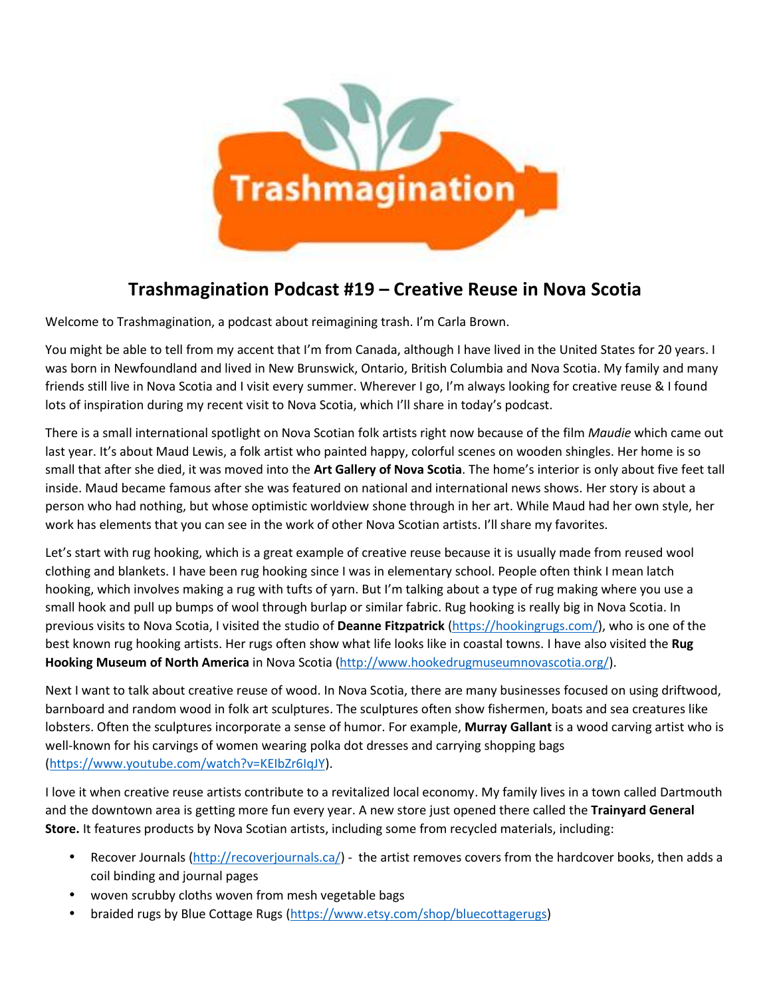

## **Trashmagination Podcast #19 – Creative Reuse in Nova Scotia**

Welcome to Trashmagination, a podcast about reimagining trash. I'm Carla Brown.

You might be able to tell from my accent that I'm from Canada, although I have lived in the United States for 20 years. I was born in Newfoundland and lived in New Brunswick, Ontario, British Columbia and Nova Scotia. My family and many friends still live in Nova Scotia and I visit every summer. Wherever I go, I'm always looking for creative reuse & I found lots of inspiration during my recent visit to Nova Scotia, which I'll share in today's podcast.

There is a small international spotlight on Nova Scotian folk artists right now because of the film *Maudie* which came out last year. It's about Maud Lewis, a folk artist who painted happy, colorful scenes on wooden shingles. Her home is so small that after she died, it was moved into the **Art Gallery of Nova Scotia**. The home's interior is only about five feet tall inside. Maud became famous after she was featured on national and international news shows. Her story is about a person who had nothing, but whose optimistic worldview shone through in her art. While Maud had her own style, her work has elements that you can see in the work of other Nova Scotian artists. I'll share my favorites.

Let's start with rug hooking, which is a great example of creative reuse because it is usually made from reused wool clothing and blankets. I have been rug hooking since I was in elementary school. People often think I mean latch hooking, which involves making a rug with tufts of yarn. But I'm talking about a type of rug making where you use a small hook and pull up bumps of wool through burlap or similar fabric. Rug hooking is really big in Nova Scotia. In previous visits to Nova Scotia, I visited the studio of **Deanne Fitzpatrick** (https://hookingrugs.com/), who is one of the best known rug hooking artists. Her rugs often show what life looks like in coastal towns. I have also visited the **Rug Hooking Museum of North America** in Nova Scotia (http://www.hookedrugmuseumnovascotia.org/).

Next I want to talk about creative reuse of wood. In Nova Scotia, there are many businesses focused on using driftwood, barnboard and random wood in folk art sculptures. The sculptures often show fishermen, boats and sea creatures like lobsters. Often the sculptures incorporate a sense of humor. For example, **Murray Gallant** is a wood carving artist who is well-known for his carvings of women wearing polka dot dresses and carrying shopping bags (https://www.youtube.com/watch?v=KEIbZr6IqJY).

I love it when creative reuse artists contribute to a revitalized local economy. My family lives in a town called Dartmouth and the downtown area is getting more fun every year. A new store just opened there called the **Trainyard General Store.** It features products by Nova Scotian artists, including some from recycled materials, including:

- Recover Journals (http://recoverjournals.ca/) the artist removes covers from the hardcover books, then adds a coil binding and journal pages
- woven scrubby cloths woven from mesh vegetable bags
- braided rugs by Blue Cottage Rugs (https://www.etsy.com/shop/bluecottagerugs)